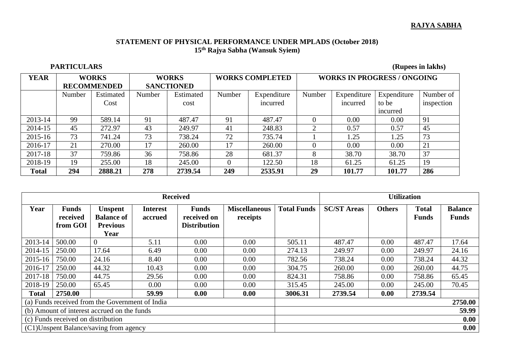## **RAJYA SABHA**

## **STATEMENT OF PHYSICAL PERFORMANCE UNDER MPLADS (October 2018) 15th Rajya Sabha (Wansuk Syiem)**

## **PARTICULARS** (Rupees in lakhs)

| <b>YEAR</b>  | <b>WORKS</b><br><b>RECOMMENDED</b> |           | <b>WORKS</b><br><b>SANCTIONED</b> |           | <b>WORKS COMPLETED</b> |             | <b>WORKS IN PROGRESS / ONGOING</b> |             |             |            |
|--------------|------------------------------------|-----------|-----------------------------------|-----------|------------------------|-------------|------------------------------------|-------------|-------------|------------|
|              | Number                             | Estimated | Number                            | Estimated | Number                 | Expenditure | Number                             | Expenditure | Expenditure | Number of  |
|              |                                    | Cost      |                                   | cost      |                        | incurred    |                                    | incurred    | to be       | inspection |
|              |                                    |           |                                   |           |                        |             |                                    |             | incurred    |            |
| $2013 - 14$  | 99                                 | 589.14    | 91                                | 487.47    | 91                     | 487.47      | 0                                  | 0.00        | 0.00        | 91         |
| 2014-15      | 45                                 | 272.97    | 43                                | 249.97    | 41                     | 248.83      | 2                                  | 0.57        | 0.57        | 45         |
| 2015-16      | 73                                 | 741.24    | 73                                | 738.24    | 72                     | 735.74      |                                    | 1.25        | 1.25        | 73         |
| 2016-17      | 21                                 | 270.00    | 17                                | 260.00    | 17                     | 260.00      | 0                                  | 0.00        | 0.00        | 21         |
| 2017-18      | 37                                 | 759.86    | 36                                | 758.86    | 28                     | 681.37      | 8                                  | 38.70       | 38.70       | 37         |
| 2018-19      | 19                                 | 255.00    | 18                                | 245.00    | $\Omega$               | 122.50      | 18                                 | 61.25       | 61.25       | 19         |
| <b>Total</b> | 294                                | 2888.21   | 278                               | 2739.54   | 249                    | 2535.91     | 29                                 | 101.77      | 101.77      | 286        |

| <b>Received</b>                                 |                                      |                                                                |                            |                                                    |                                  |                    | <b>Utilization</b> |               |                              |                                |  |
|-------------------------------------------------|--------------------------------------|----------------------------------------------------------------|----------------------------|----------------------------------------------------|----------------------------------|--------------------|--------------------|---------------|------------------------------|--------------------------------|--|
| Year                                            | <b>Funds</b><br>received<br>from GOI | <b>Unspent</b><br><b>Balance of</b><br><b>Previous</b><br>Year | <b>Interest</b><br>accrued | <b>Funds</b><br>received on<br><b>Distribution</b> | <b>Miscellaneous</b><br>receipts | <b>Total Funds</b> | <b>SC/ST Areas</b> | <b>Others</b> | <b>Total</b><br><b>Funds</b> | <b>Balance</b><br><b>Funds</b> |  |
| 2013-14                                         | 500.00                               | $\overline{0}$                                                 | 5.11                       | 0.00                                               | 0.00                             | 505.11             | 487.47             | 0.00          | 487.47                       | 17.64                          |  |
| 2014-15                                         | 250.00                               | 17.64                                                          | 6.49                       | 0.00                                               | 0.00                             | 274.13             | 249.97             | 0.00          | 249.97                       | 24.16                          |  |
| 2015-16                                         | 750.00                               | 24.16                                                          | 8.40                       | 0.00                                               | 0.00                             | 782.56             | 738.24             | 0.00          | 738.24                       | 44.32                          |  |
| 2016-17                                         | 250.00                               | 44.32                                                          | 10.43                      | 0.00                                               | 0.00                             | 304.75             | 260.00             | 0.00          | 260.00                       | 44.75                          |  |
| 2017-18                                         | 750.00                               | 44.75                                                          | 29.56                      | 0.00                                               | 0.00                             | 824.31             | 758.86             | 0.00          | 758.86                       | 65.45                          |  |
| 2018-19                                         | 250.00                               | 65.45                                                          | 0.00                       | 0.00                                               | 0.00                             | 315.45             | 245.00             | 0.00          | 245.00                       | 70.45                          |  |
| <b>Total</b>                                    | 2750.00                              |                                                                | 59.99                      | 0.00                                               | 0.00                             | 3006.31            | 2739.54            | 0.00          | 2739.54                      |                                |  |
| (a) Funds received from the Government of India |                                      |                                                                |                            |                                                    |                                  |                    |                    |               |                              | 2750.00                        |  |
| (b) Amount of interest accrued on the funds     |                                      |                                                                |                            |                                                    | 59.99                            |                    |                    |               |                              |                                |  |
| (c) Funds received on distribution              |                                      |                                                                |                            |                                                    |                                  | 0.00               |                    |               |                              |                                |  |
| (C1) Unspent Balance/saving from agency         |                                      |                                                                |                            |                                                    |                                  | 0.00               |                    |               |                              |                                |  |